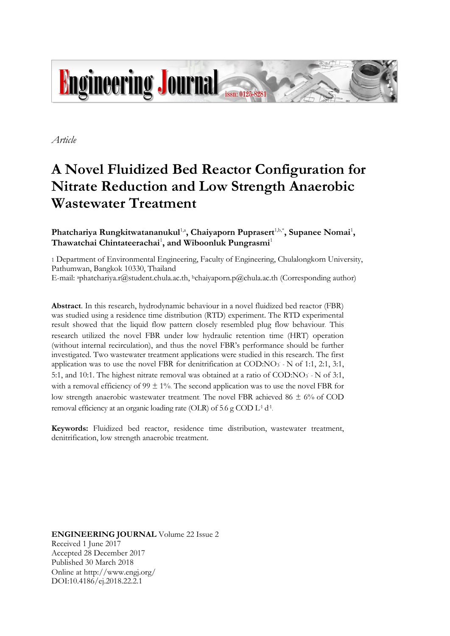

*Article*

# **A Novel Fluidized Bed Reactor Configuration for Nitrate Reduction and Low Strength Anaerobic Wastewater Treatment**

Phatchariya Rungkitwatananukul<sup>1,a</sup>, Chaiyaporn Puprasert<sup>1,b,\*</sup>, Supanee Nomai<sup>1</sup>, **Thawatchai Chintateerachai**<sup>1</sup> **, and Wiboonluk Pungrasmi**<sup>1</sup>

1 Department of Environmental Engineering, Faculty of Engineering, Chulalongkorn University, Pathumwan, Bangkok 10330, Thailand

E-mail: <sup>a</sup>phatchariya.r@student.chula.ac.th, <sup>b</sup>chaiyaporn.p@chula.ac.th (Corresponding author)

**Abstract**. In this research, hydrodynamic behaviour in a novel fluidized bed reactor (FBR) was studied using a residence time distribution (RTD) experiment. The RTD experimental result showed that the liquid flow pattern closely resembled plug flow behaviour. This research utilized the novel FBR under low hydraulic retention time (HRT) operation (without internal recirculation), and thus the novel FBR's performance should be further investigated. Two wastewater treatment applications were studied in this research. The first application was to use the novel FBR for denitrification at COD:NO3 - N of 1:1, 2:1, 3:1, 5:1, and 10:1. The highest nitrate removal was obtained at a ratio of COD:NO<sub>3</sub> - N of 3:1, with a removal efficiency of 99  $\pm$  1%. The second application was to use the novel FBR for low strength anaerobic wastewater treatment. The novel FBR achieved 86 ± 6% of COD removal efficiency at an organic loading rate (OLR) of 5.6 g COD  $L^1 d^1$ .

**Keywords:** Fluidized bed reactor, residence time distribution, wastewater treatment, denitrification, low strength anaerobic treatment.

**ENGINEERING JOURNAL** Volume 22 Issue 2 Received 1 June 2017 Accepted 28 December 2017 Published 30 March 2018 Online at http://www.engj.org/ DOI:10.4186/ej.2018.22.2.1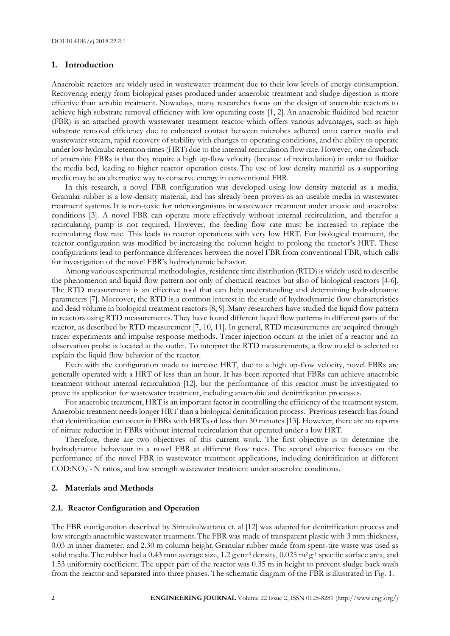# **1. Introduction**

Anaerobic reactors are widely used in wastewater treatment due to their low levels of energy consumption. Recovering energy from biological gases produced under anaerobic treatment and sludge digestion is more effective than aerobic treatment. Nowadays, many researches focus on the design of anaerobic reactors to achieve high substrate removal efficiency with low operating costs [1, 2].An anaerobic fluidized bed reactor (FBR) is an attached growth wastewater treatment reactor which offers various advantages, such as high substrate removal efficiency due to enhanced contact between microbes adhered onto carrier media and wastewater stream, rapid recovery of stability with changes to operating conditions, and the ability to operate under low hydraulic retention times (HRT) due to the internal recirculation flow rate.However, one drawback of anaerobic FBRs is that they require a high up-flow velocity (because of recirculation) in order to fluidize the media bed, leading to higher reactor operation costs. The use of low density material as a supporting media may be an alternative way to conserve energy in conventional FBR.

In this research, a novel FBR configuration was developed using low density material as a media. Granular rubber is a low-density material, and has already been proven as an useable media in wastewater treatment systems. It is non-toxic for microorganisms in wastewater treatment under anoxic and anaerobic conditions [3]. A novel FBR can operate more effectively without internal recirculation, and therefor a recirculating pump is not required. However, the feeding flow rate must be increased to replace the recirculating flow rate. This leads to reactor operations with very low HRT. For biological treatment, the reactor configuration was modified by increasing the column height to prolong the reactor's HRT. These configurations lead to performance differences between the novel FBR from conventional FBR, which calls for investigation of the novel FBR's hydrodynamic behavior.

Among various experimental methodologies, residence time distribution (RTD) is widely used to describe the phenomenon and liquid flow pattern not only of chemical reactors but also of biological reactors [4-6]. The RTD measurement is an effective tool that can help understanding and determining hydrodynamic parameters [7]. Moreover, the RTD is a common interest in the study of hydrodynamic flow characteristics and dead volume in biological treatment reactors [8, 9]. Many researchers have studied the liquid flow pattern in reactors using RTD measurements. They have found different liquid flow patterns in different parts of the reactor, as described by RTD measurement [7, 10, 11]. In general, RTD measurements are acquired through tracer experiments and impulse response methods. Tracer injection occurs at the inlet of a reactor and an observation probe is located at the outlet. To interpret the RTD measurements, a flow model is selected to explain the liquid flow behavior of the reactor.

Even with the configuration made to increase HRT, due to a high up-flow velocity, novel FBRs are generally operated with a HRT of less than an hour. It has been reported that FBRs can achieve anaerobic treatment without internal recirculation [12], but the performance of this reactor must be investigated to prove its application for wastewater treatment, including anaerobic and denitrification processes.

For anaerobic treatment, HRT is an important factor in controlling the efficiency of the treatment system. Anaerobic treatment needs longer HRT than a biological denitrification process. Previous research has found that denitrification can occur in FBRs with HRTs of less than 30 minutes [13]. However, there are no reports of nitrate reduction in FBRs without internal recirculation that operated under a low HRT.

Therefore, there are two objectives of this current work. The first objective is to determine the hydrodynamic behaviour in a novel FBR at different flow rates. The second objective focuses on the performance of the novel FBR in wastewater treatment applications, including denitrification at different COD:NO<sub>3</sub> - N ratios, and low strength wastewater treatment under anaerobic conditions.

## **2. Materials and Methods**

# **2.1. Reactor Configuration and Operation**

The FBR configuration described by Sirinukulwattana et. al [12] was adapted for denitrification process and low strength anaerobic wastewater treatment.The FBR was made of transparent plastic with 3 mm thickness, 0.03 m inner diameter, and 2.30 m column height. Granular rubber made from spent-tire waste was used as solid media. The rubber had a 0.43 mm average size, 1.2 g cm<sup>-3</sup> density, 0.025 m<sup>2</sup> g<sup>-1</sup> specific surface area, and 1.53 uniformity coefficient. The upper part of the reactor was 0.35 m in height to prevent sludge back wash from the reactor and separated into three phases. The schematic diagram of the FBR isillustrated in Fig. 1.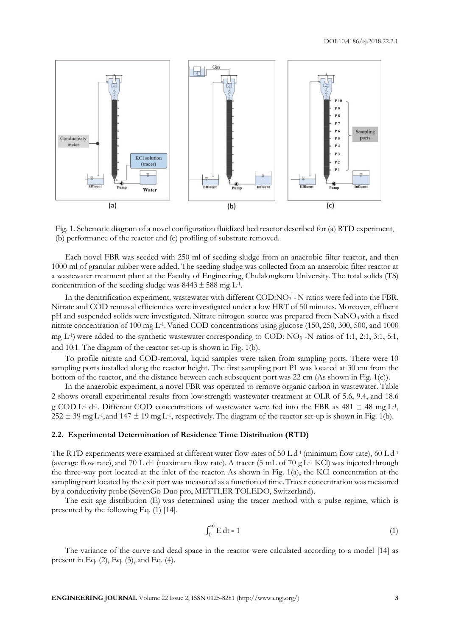

Fig. 1. Schematic diagram of a novel configuration fluidized bed reactor described for (a) RTD experiment, (b) performance of the reactor and (c) profiling of substrate removed.

Each novel FBR was seeded with 250 ml of seeding sludge from an anaerobic filter reactor, and then 1000 ml of granular rubber were added. The seeding sludge was collected from an anaerobic filter reactor at a wastewater treatment plant at the Faculty of Engineering, Chulalongkorn University. The total solids (TS) concentration of the seeding sludge was  $8443 \pm 588$  mg L<sup>-1</sup>.

In the denitrification experiment, wastewater with different COD:NO<sub>3</sub> - N ratios were fed into the FBR. Nitrate and COD removal efficiencies were investigated under a low HRT of 50 minutes. Moreover, effluent pH and suspended solids were investigated. Nitrate nitrogen source was prepared from NaNO3with a fixed nitrate concentration of 100 mg L-1 .Varied COD concentrations using glucose (150, 250, 300, 500, and 1000 mg L<sup>-1</sup>) were added to the synthetic wastewater corresponding to COD: NO<sub>3</sub> -N ratios of 1:1, 2:1, 3:1, 5:1, and 10:1. The diagram of the reactor set-up is shown in Fig. 1(b).

To profile nitrate and COD-removal, liquid samples were taken from sampling ports. There were 10 sampling ports installed along the reactor height. The first sampling port P1 was located at 30 cm from the bottom of the reactor, and the distance between each subsequent port was 22 cm (As shown in Fig. 1(c)).

In the anaerobic experiment, a novel FBR was operated to remove organic carbon in wastewater. Table 2 shows overall experimental results from low-strength wastewater treatment at OLR of 5.6, 9.4, and 18.6 g COD L<sup>-1</sup> d<sup>-1</sup>. Different COD concentrations of wastewater were fed into the FBR as 481  $\pm$  48 mg L<sup>-1</sup>,  $252 \pm 39$  mg L<sup>-1</sup>, and  $147 \pm 19$  mg L<sup>-1</sup>, respectively. The diagram of the reactor set-up is shown in Fig. 1(b).

#### **2.2. Experimental Determination of Residence Time Distribution (RTD)**

The RTD experiments were examined at different water flow rates of 50 L  $d<sup>-1</sup>$  (minimum flow rate), 60 L  $d<sup>-1</sup>$ (average flow rate), and 70 L d<sup>-1</sup> (maximum flow rate). A tracer (5 mL of 70 g L<sup>-1</sup> KCl) was injected through the three-way port located at the inlet of the reactor. As shown in Fig. 1(a), the KCl concentration at the sampling port located by the exit port was measured as a function of time.Tracer concentration was measured by a conductivity probe (SevenGo Duo pro, METTLER TOLEDO, Switzerland).

The exit age distribution (E) was determined using the tracer method with a pulse regime, which is presented by the following Eq. (1) [14].

$$
\int_0^\infty E dt = 1\tag{1}
$$

The variance of the curve and dead space in the reactor were calculated according to a model [14] as present in Eq. (2), Eq. (3), and Eq. (4).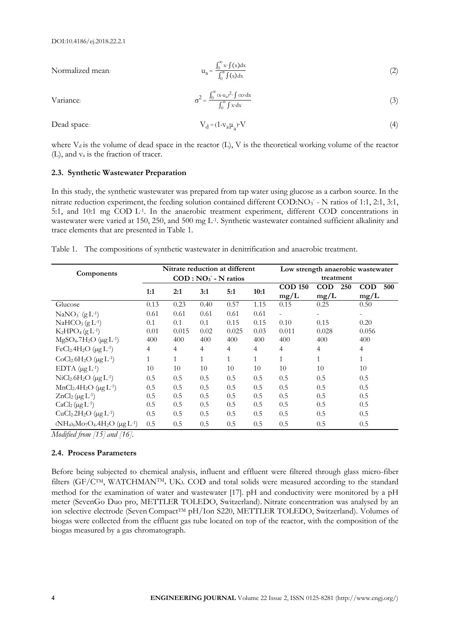Variance<sub>:</sub>

Normalized mean: 
$$
u_{a} = \frac{\int_{0}^{\infty} x \cdot f(x) dx}{\int_{0}^{\infty} f(x) dx}
$$
 (2)

$$
\sigma^2 = \frac{\int_0^\infty (x - u_a)^2 \cdot \int (x) dx}{\int_0^\infty \int x \cdot dx}
$$
 (3)

Dead space: 
$$
V_d = (1 - v_a \mu_a)^2 V \tag{4}
$$

where  $V_d$  is the volume of dead space in the reactor (L), V is the theoretical working volume of the reactor (L), and v<sup>a</sup> is the fraction of tracer.

# **2.3. Synthetic Wastewater Preparation**

In this study, the synthetic wastewater was prepared from tap water using glucose as a carbon source. In the nitrate reduction experiment, the feeding solution contained different COD:NO<sub>3</sub> - N ratios of 1:1, 2:1, 3:1, 5:1, and 10:1 mg COD L<sup>-1</sup>. In the anaerobic treatment experiment, different COD concentrations in wastewater were varied at 150, 250, and 500 mg L<sup>-1</sup>. Synthetic wastewater contained sufficient alkalinity and trace elements that are presented in Table 1.

|--|

| Components                                                       | Nitrate reduction at different<br>$COD : NO_3$ - N ratios |       |      |              |      | Low strength anaerobic wastewater<br>treatment |                   |                   |
|------------------------------------------------------------------|-----------------------------------------------------------|-------|------|--------------|------|------------------------------------------------|-------------------|-------------------|
|                                                                  |                                                           |       |      |              |      |                                                |                   |                   |
|                                                                  | 1:1                                                       | 2:1   | 3:1  | 5:1          | 10:1 | <b>COD 150</b>                                 | <b>COD</b><br>250 | <b>COD</b><br>500 |
|                                                                  |                                                           |       |      |              |      | mg/L                                           | mg/L              | mg/L              |
| Glucose                                                          | 0.13                                                      | 0.23  | 0.40 | 0.57         | 1.15 | 0.15                                           | 0.25              | 0.50              |
| $NaNO3 (gL-1)$                                                   | 0.61                                                      | 0.61  | 0.61 | 0.61         | 0.61 |                                                |                   |                   |
| $NAHCO3(gL-1)$                                                   | 0.1                                                       | 0.1   | 0.1  | 0.15         | 0.15 | 0.10                                           | 0.15              | 0.20              |
| $K_2HPO_4(gL^{-1})$                                              | 0.01                                                      | 0.015 | 0.02 | 0.025        | 0.03 | 0.011                                          | 0.028             | 0.056             |
| $MgSO_4.7H_2O \; (\mu g L^{-1})$                                 | 400                                                       | 400   | 400  | 400          | 400  | 400                                            | 400               | 400               |
| FeCl <sub>2</sub> .4H <sub>2</sub> O ( $\mu$ g L <sup>-1</sup> ) | 4                                                         | 4     | 4    | 4            | 4    | 4                                              | $\overline{4}$    | 4                 |
| $CoCl2.6H2O$ (µg L <sup>-1</sup> )                               | 1                                                         | 1     | 1    | $\mathbf{1}$ | 1    | 1                                              | 1                 | $\mathbf{1}$      |
| EDTA $(\mu g L^{-1})$                                            | 10                                                        | 10    | 10   | 10           | 10   | 10                                             | 10                | 10                |
| $NiCl2.6H2O (µgL-1)$                                             | 0.5                                                       | 0.5   | 0.5  | 0.5          | 0.5  | 0.5                                            | 0.5               | 0.5               |
| $MnCl2.4H2O (µgL-1)$                                             | 0.5                                                       | 0.5   | 0.5  | 0.5          | 0.5  | 0.5                                            | 0.5               | 0.5               |
| $ZnCl2(\mu g L-1)$                                               | 0.5                                                       | 0.5   | 0.5  | 0.5          | 0.5  | 0.5                                            | 0.5               | 0.5               |
| $CaCl2(\mu g L-1)$                                               | 0.5                                                       | 0.5   | 0.5  | 0.5          | 0.5  | 0.5                                            | 0.5               | 0.5               |
| $CuCl2.2H2O$ (µg $L-1$ )                                         | 0.5                                                       | 0.5   | 0.5  | 0.5          | 0.5  | 0.5                                            | 0.5               | 0.5               |
| $(NH_4)_6M_9O_4.4H_2O \; (\mu g L^{-1})$                         | 0.5                                                       | 0.5   | 0.5  | 0.5          | 0.5  | 0.5                                            | 0.5               | 0.5               |

*Modified from [15] and [16].*

## **2.4. Process Parameters**

Before being subjected to chemical analysis, influent and effluent were filtered through glass micro-fiber filters (GF/C<sup>TM</sup>, WATCHMAN<sup>TM</sup>, UK). COD and total solids were measured according to the standard method for the examination of water and wastewater [17]. pH and conductivity were monitored by a pH meter (SevenGo Duo pro, METTLER TOLEDO, Switzerland). Nitrate concentration was analysed by an ion selective electrode (Seven Compact<sup>TM</sup> pH/Ion S220, METTLER TOLEDO, Switzerland). Volumes of biogas were collected from the effluent gas tube located on top of the reactor, with the composition of the biogas measured by a gas chromatograph.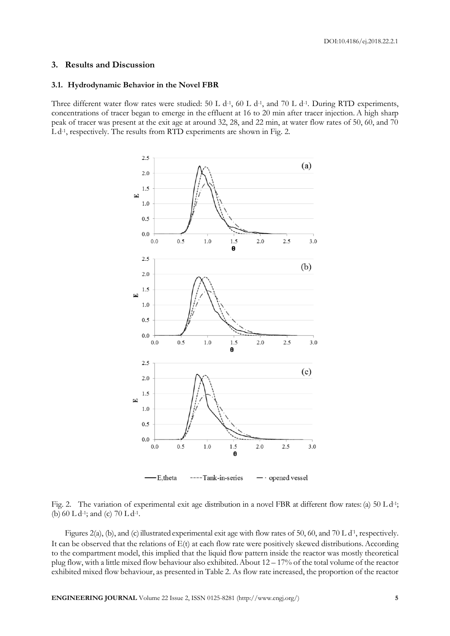#### **3. Results and Discussion**

#### **3.1. Hydrodynamic Behavior in the Novel FBR**

Three different water flow rates were studied: 50 L d<sup>-1</sup>, 60 L d<sup>-1</sup>, and 70 L d<sup>-1</sup>. During RTD experiments, concentrations of tracer began to emerge in the effluent at 16 to 20 min after tracer injection. A high sharp peak of tracer was present at the exit age at around 32, 28, and 22 min, at water flow rates of 50, 60, and 70 L d<sup>-1</sup>, respectively. The results from RTD experiments are shown in Fig. 2.



Fig. 2. The variation of experimental exit age distribution in a novel FBR at different flow rates: (a) 50 L d<sup>-1</sup>; (b)  $60$  L d<sup>-1</sup>; and (c)  $70$  L d<sup>-1</sup>.

Figures 2(a), (b), and (c) illustrated experimental exit age with flow rates of 50, 60, and 70 L d<sup>1</sup>, respectively. It can be observed that the relations of  $E(t)$  at each flow rate were positively skewed distributions. According to the compartment model, this implied that the liquid flow pattern inside the reactor was mostly theoretical plug flow, with a little mixed flow behaviour also exhibited.About 12 – 17% of the total volume of the reactor exhibited mixed flow behaviour, as presented in Table 2. As flow rate increased, the proportion of the reactor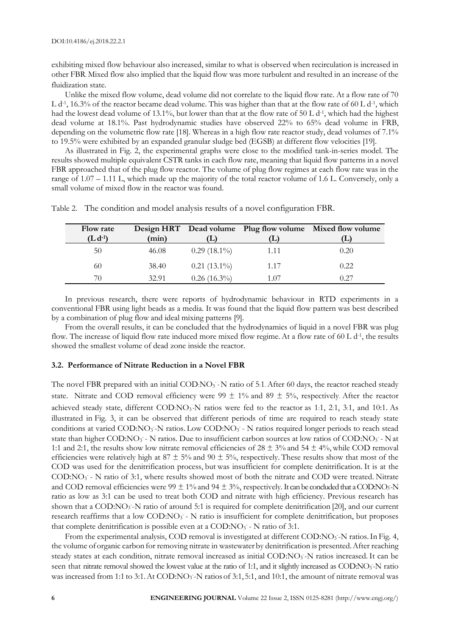exhibiting mixed flow behaviour also increased, similar to what is observed when recirculation is increased in other FBR. Mixed flow also implied that the liquid flow was more turbulent and resulted in an increase of the fluidization state.

Unlike the mixed flow volume, dead volume did not correlate to the liquid flow rate. At a flow rate of 70 L d<sup>-1</sup>, 16.3% of the reactor became dead volume. This was higher than that at the flow rate of 60 L d<sup>-1</sup>, which had the lowest dead volume of 13.1%, but lower than that at the flow rate of 50 L d<sup>-1</sup>, which had the highest dead volume at 18.1%. Past hydrodynamic studies have observed 22% to 65% dead volume in FRB, depending on the volumetric flow rate [18]. Whereas in a high flow rate reactor study, dead volumes of 7.1% to 19.5% were exhibited by an expanded granular sludge bed (EGSB) at different flow velocities [19].

As illustrated in Fig. 2, the experimental graphs were close to the modified tank-in-series model. The results showed multiple equivalent CSTR tanks in each flow rate, meaning that liquid flow patterns in a novel FBR approached that of the plug flow reactor. The volume of plug flow regimes at each flow rate was in the range of 1.07 – 1.11 L, which made up the majority of the total reactor volume of 1.6 L. Conversely, only a small volume of mixed flow in the reactor was found.

| <b>Flow rate</b> |       |                |      | Design HRT Dead volume Plug flow volume Mixed flow volume |
|------------------|-------|----------------|------|-----------------------------------------------------------|
| $(L d-1)$        | (min) |                |      |                                                           |
| 50               | 46.08 | $0.29(18.1\%)$ | 1.11 | 0.20                                                      |
| 60               | 38.40 | $0.21(13.1\%)$ | 1.17 | 0.22                                                      |
| 70               | 32.91 | $0.26(16.3\%)$ | 1.07 | 0.27                                                      |

Table 2. The condition and model analysis results of a novel configuration FBR.

In previous research, there were reports of hydrodynamic behaviour in RTD experiments in a conventional FBR using light beads as a media. It was found that the liquid flow pattern was best described by a combination of plug flow and ideal mixing patterns [9].

From the overall results, it can be concluded that the hydrodynamics of liquid in a novel FBR was plug flow. The increase of liquid flow rate induced more mixed flow regime. At a flow rate of 60 L d<sup>-1</sup>, the results showed the smallest volume of dead zone inside the reactor.

# **3.2. Performance of Nitrate Reduction in a Novel FBR**

The novel FBR prepared with an initial COD:NO<sub>3</sub> - N ratio of 5:1. After 60 days, the reactor reached steady state. Nitrate and COD removal efficiency were 99  $\pm$  1% and 89  $\pm$  5%, respectively. After the reactor achieved steady state, different COD:NO<sub>3</sub> N ratios were fed to the reactor as 1:1, 2:1, 3:1, and 10:1. As illustrated in Fig. 3, it can be observed that different periods of time are required to reach steady state conditions at varied COD:NO<sub>3</sub>-N ratios. Low COD:NO<sub>3</sub> - N ratios required longer periods to reach stead state than higher COD:NO<sub>3</sub> - N ratios. Due to insufficient carbon sources at low ratios of COD:NO<sub>3</sub> - N at 1:1 and 2:1, the results show low nitrate removal efficiencies of  $28 \pm 3\%$  and  $54 \pm 4\%$ , while COD removal efficiencies were relatively high at 87  $\pm$  5% and 90  $\pm$  5%, respectively. These results show that most of the COD was used for the denitrification process, but was insufficient for complete denitrification. It is at the COD:NO<sub>3</sub> - N ratio of 3:1, where results showed most of both the nitrate and COD were treated. Nitrate and COD removal efficiencies were  $99 \pm 1\%$  and  $94 \pm 3\%$ , respectively. It can be concluded that a COD:NO<sub>3</sub>-N ratio as low as 3:1 can be used to treat both COD and nitrate with high efficiency. Previous research has shown that a COD:NO<sub>3</sub>-N ratio of around 5:1 is required for complete denitrification [20], and our current research reaffirms that a low COD:NO<sub>3</sub> - N ratio is insufficient for complete denitrification, but proposes that complete denitrification is possible even at a COD: $NO<sub>3</sub>$  - N ratio of 3:1.

From the experimental analysis, COD removal is investigated at different COD:NO<sub>3</sub> -N ratios. In Fig. 4, the volume oforganic carbon for removing nitrate in wastewater by denitrification is presented.After reaching steady states at each condition, nitrate removal increased as initial COD:NO<sub>3</sub>-N ratios increased. It can be seen that nitrate removal showed the lowest value at the ratio of 1:1, and it slightly increased as COD:NO<sub>3</sub>-N ratio was increased from 1:1 to 3:1. At COD:NO<sub>3</sub> -N ratios of 3:1, 5:1, and 10:1, the amount of nitrate removal was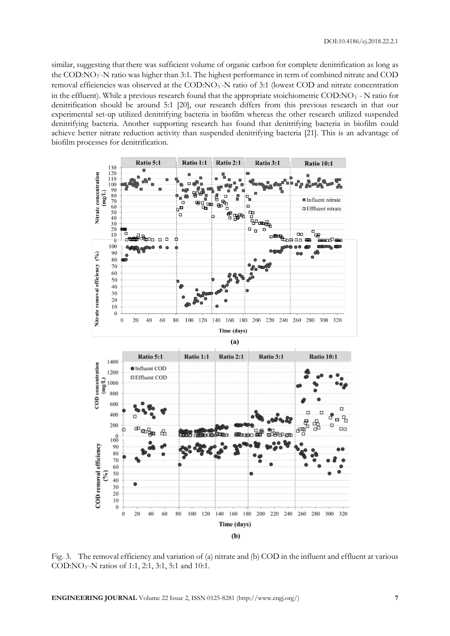similar, suggesting that there was sufficient volume of organic carbon for complete denitrification as long as the COD:NO<sub>3</sub> -N ratio was higher than 3:1. The highest performance in term of combined nitrate and COD removal efficiencies was observed at the COD:NO<sub>3</sub>-N ratio of 3:1 (lowest COD and nitrate concentration in the effluent). While a previous research found that the appropriate stoichiometric COD:NO3 - N ratio for denitrification should be around 5:1 [20], our research differs from this previous research in that our experimental set-up utilized denitrifying bacteria in biofilm whereas the other research utilized suspended denitrifying bacteria. Another supporting research has found that denitrifying bacteria in biofilm could achieve better nitrate reduction activity than suspended denitrifying bacteria [21]. This is an advantage of biofilm processes for denitrification.



Fig. 3. The removal efficiency and variation of (a) nitrate and (b) COD in the influent and effluent at various COD:NO<sub>3</sub>-N ratios of 1:1, 2:1, 3:1, 5:1 and 10:1.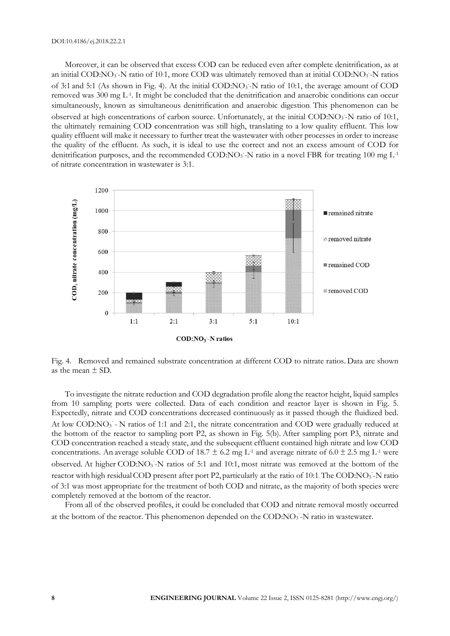Moreover, it can be observed that excess COD can be reduced even after complete denitrification, as at an initial COD:NO<sub>3</sub> -N ratio of 10:1, more COD was ultimately removed than at initial COD:NO<sub>3</sub> -N ratios of 3:1 and 5:1 (As shown in Fig. 4). At the initial COD:NO<sub>3</sub>-N ratio of 10:1, the average amount of COD removed was 300 mg L-1 . It might be concluded that the denitrification and anaerobic conditions can occur simultaneously, known as simultaneous denitrification and anaerobic digestion. This phenomenon can be observed at high concentrations of carbon source. Unfortunately, at the initial COD:NO<sub>3</sub>-N ratio of 10:1, the ultimately remaining COD concentration was still high, translating to a low quality effluent. This low quality effluent will make it necessary to further treat the wastewater with other processes in order to increase the quality of the effluent. As such, it is ideal to use the correct and not an excess amount of COD for denitrification purposes, and the recommended COD:NO<sub>3</sub>-N ratio in a novel FBR for treating 100 mg L<sup>-1</sup> of nitrate concentration in wastewater is 3:1.



Fig. 4. Removed and remained substrate concentration at different COD to nitrate ratios. Data are shown as the mean  $+$  SD.

To investigate the nitrate reduction and COD degradation profile along the reactor height, liquid samples from 10 sampling ports were collected. Data of each condition and reactor layer is shown in Fig. 5. Expectedly, nitrate and COD concentrations decreased continuously as it passed though the fluidized bed. At low COD:NO<sub>3</sub> - N ratios of 1:1 and 2:1, the nitrate concentration and COD were gradually reduced at the bottom of the reactor to sampling port P2, as shown in Fig. 5(b). After sampling port P3, nitrate and COD concentration reached a steady state, and the subsequent effluent contained high nitrate and low COD concentrations. An average soluble COD of 18.7  $\pm$  6.2 mg L<sup>-1</sup> and average nitrate of 6.0  $\pm$  2.5 mg L<sup>-1</sup> were observed. At higher COD:NO<sub>3</sub>-N ratios of 5:1 and 10:1, most nitrate was removed at the bottom of the reactor with high residual COD present after port P2, particularly at the ratio of 10:1. The COD:NO3-N ratio of 3:1 was most appropriate for the treatment of both COD and nitrate, as the majority of both species were completely removed at the bottom of the reactor.

From all of the observed profiles, it could be concluded that COD and nitrate removal mostly occurred at the bottom of the reactor. This phenomenon depended on the COD:NO<sub>3</sub> -N ratio in wastewater.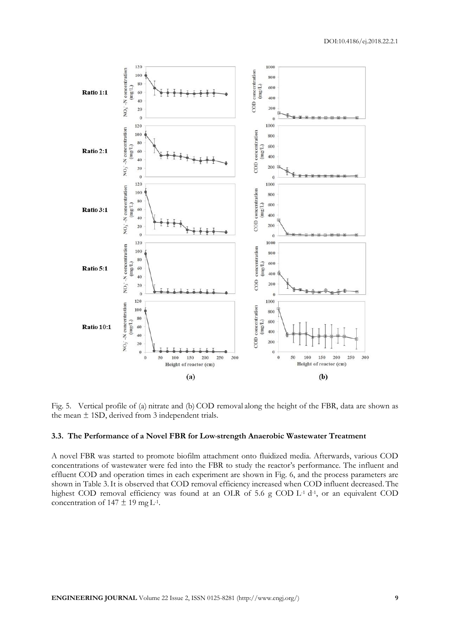

Fig. 5. Vertical profile of (a) nitrate and (b) COD removal along the height of the FBR, data are shown as the mean  $\pm$  1SD, derived from 3 independent trials.

#### **3.3. The Performance of a Novel FBR for Low-strength Anaerobic Wastewater Treatment**

A novel FBR was started to promote biofilm attachment onto fluidized media. Afterwards, various COD concentrations of wastewater were fed into the FBR to study the reactor's performance. The influent and effluent COD and operation times in each experiment are shown in Fig. 6, and the process parameters are shown in Table 3.It is observed that COD removal efficiency increased when COD influent decreased.The highest COD removal efficiency was found at an OLR of 5.6 g COD L<sup>-1</sup> d<sup>-1</sup>, or an equivalent COD concentration of  $147 \pm 19$  mg L<sup>-1</sup>.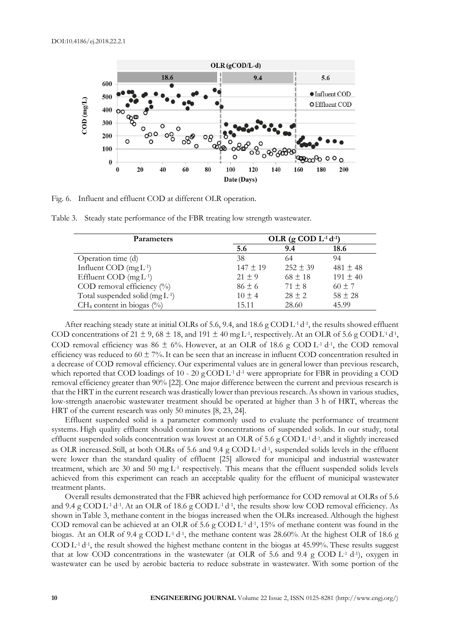

Fig. 6. Influent and effluent COD at different OLR operation.

Table 3. Steady state performance of the FBR treating low strength wastewater.

| <b>Parameters</b>                               | OLR (g COD $L$ <sup>1</sup> $d$ <sup>-1</sup> ) |              |              |  |  |
|-------------------------------------------------|-------------------------------------------------|--------------|--------------|--|--|
|                                                 | 5.6                                             | 9.4          | 18.6         |  |  |
| Operation time (d)                              | 38                                              | 64           | 94           |  |  |
| Influent COD $(mgL-1)$                          | $147 \pm 19$                                    | $252 \pm 39$ | 481 $\pm$ 48 |  |  |
| Effluent COD $(mgL-1)$                          | $21 \pm 9$                                      | $68 \pm 18$  | $191 \pm 40$ |  |  |
| COD removal efficiency $(^{0}_{0})$             | $86 \pm 6$                                      | $71 + 8$     | $60 \pm 7$   |  |  |
| Total suspended solid $(mg L^{-1})$             | $10 \pm 4$                                      | $28 \pm 2$   | $58 \pm 28$  |  |  |
| CH <sub>4</sub> content in biogas $(^{0}/_{0})$ | 15.11                                           | 28.60        | 45.99        |  |  |

After reaching steady state at initial OLRs of 5.6, 9.4, and 18.6 g COD L<sup>-1</sup> d<sup>-1</sup>, the results showed effluent COD concentrations of 21  $\pm$  9, 68  $\pm$  18, and 191  $\pm$  40 mg L<sup>-1</sup>, respectively. At an OLR of 5.6 g COD L<sup>-1</sup> d<sup>-1</sup>, COD removal efficiency was 86  $\pm$  6%. However, at an OLR of 18.6 g COD L<sup>-1</sup> d<sup>-1</sup>, the COD removal efficiency was reduced to  $60 \pm 7$ %. It can be seen that an increase in influent COD concentration resulted in a decrease of COD removal efficiency. Our experimental values are in general lower than previous research, which reported that COD loadings of 10 - 20 g COD  $L$ <sup>1</sup> d<sup>-1</sup> were appropriate for FBR in providing a COD removal efficiency greater than 90% [22]. One major difference between the current and previous research is that the HRT in the current research was drastically lower than previous research.As shown in various studies, low-strength anaerobic wastewater treatment should be operated at higher than 3 h of HRT, whereas the HRT of the current research was only 50 minutes [8, 23, 24].

Effluent suspended solid is a parameter commonly used to evaluate the performance of treatment systems. High quality effluent should contain low concentrations of suspended solids. In our study, total effluent suspended solids concentration was lowest at an OLR of 5.6 g COD  $L$ <sup>1</sup> d<sup>-1</sup>, and it slightly increased as OLR increased. Still, at both OLRs of 5.6 and 9.4 g COD  $L$ <sup>1</sup> d<sup>-1</sup>, suspended solids levels in the effluent were lower than the standard quality of effluent [25] allowed for municipal and industrial wastewater treatment, which are 30 and 50 mg L-1 respectively. This means that the effluent suspended solids levels achieved from this experiment can reach an acceptable quality for the effluent of municipal wastewater treatment plants.

Overall results demonstrated that the FBR achieved high performance for COD removal at OLRs of 5.6 and 9.4 g  $\text{COD L-1 d-1}$ . At an OLR of 18.6 g  $\text{COD L-1 d-1}$ , the results show low COD removal efficiency. As shown in Table 3, methane content in the biogas increased when the OLRs increased. Although the highest COD removal can be achieved at an OLR of 5.6 g COD  $L$ <sup>1</sup> d<sup>-1</sup>, 15% of methane content was found in the biogas. At an OLR of 9.4 g COD L<sup>-1</sup> d<sup>-1</sup>, the methane content was 28.60%. At the highest OLR of 18.6 g  $\text{COD L-1 d-1}$ , the result showed the highest methane content in the biogas at 45.99%. These results suggest that at low COD concentrations in the wastewater (at OLR of 5.6 and 9.4 g COD L-1 d-1 ), oxygen in wastewater can be used by aerobic bacteria to reduce substrate in wastewater. With some portion of the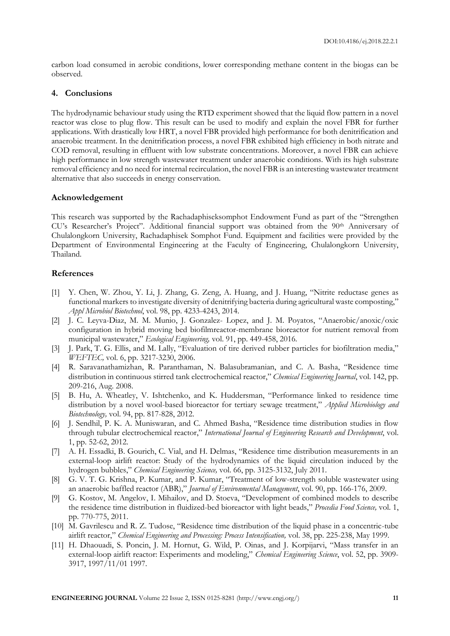carbon load consumed in aerobic conditions, lower corresponding methane content in the biogas can be observed.

# **4. Conclusions**

The hydrodynamic behaviour study using the RTD experiment showed that the liquid flow pattern in a novel reactor was close to plug flow. This result can be used to modify and explain the novel FBR for further applications. With drastically low HRT, a novel FBR provided high performance for both denitrification and anaerobic treatment. In the denitrification process, a novel FBR exhibited high efficiency in both nitrate and COD removal, resulting in effluent with low substrate concentrations. Moreover, a novel FBR can achieve high performance in low strength wastewater treatment under anaerobic conditions. With its high substrate removal efficiency and no need for internal recirculation, the novel FBR is an interesting wastewater treatment alternative that also succeeds in energy conservation.

# **Acknowledgement**

This research was supported by the Rachadaphiseksomphot Endowment Fund as part of the "Strengthen CU's Researcher's Project". Additional financial support was obtained from the 90<sup>th</sup> Anniversary of Chulalongkorn University, Rachadaphisek Somphot Fund. Equipment and facilities were provided by the Department of Environmental Engineering at the Faculty of Engineering, Chulalongkorn University, Thailand.

## **References**

- [1] Y. Chen, W. Zhou, Y. Li, J. Zhang, G. Zeng, A. Huang, and J. Huang, "Nitrite reductase genes as functional markers to investigate diversity of denitrifying bacteria during agricultural waste composting," *Appl Microbiol Biotechnol*, vol. 98, pp. 4233-4243, 2014.
- [2] J. C. Leyva-Diaz, M. M. Munio, J. Gonzalez- Lopez, and J. M. Poyatos, "Anaerobic/anoxic/oxic configuration in hybrid moving bed biofilmreactor-membrane bioreactor for nutrient removal from municipal wastewater," *Ecological Engineering,* vol. 91, pp. 449-458, 2016.
- [3] J. Park, T. G. Ellis, and M. Lally, "Evaluation of tire derived rubber particles for biofiltration media," *WEFTEC,* vol. 6, pp. 3217-3230, 2006.
- [4] R. Saravanathamizhan, R. Paranthaman, N. Balasubramanian, and C. A. Basha, "Residence time distribution in continuous stirred tank electrochemical reactor," *Chemical Engineering Journal*, vol. 142, pp. 209-216, Aug. 2008.
- [5] B. Hu, A. Wheatley, V. Ishtchenko, and K. Huddersman, "Performance linked to residence time distribution by a novel wool-based bioreactor for tertiary sewage treatment," *Applied Microbiology and Biotechnology,* vol. 94, pp. 817-828, 2012.
- [6] J. Sendhil, P. K. A. Muniswaran, and C. Ahmed Basha, "Residence time distribution studies in flow through tubular electrochemical reactor," *International Journal of Engineering Research and Development*, vol. 1, pp. 52-62, 2012.
- [7] A. H. Essadki, B. Gourich, C. Vial, and H. Delmas, "Residence time distribution measurements in an external-loop airlift reactor: Study of the hydrodynamics of the liquid circulation induced by the hydrogen bubbles," *Chemical Engineering Science,* vol. 66, pp. 3125-3132, July 2011.
- [8] G. V. T. G. Krishna, P. Kumar, and P. Kumar, "Treatment of low-strength soluble wastewater using an anaerobic baffled reactor (ABR)," *Journal of Environmental Management*, vol. 90, pp. 166-176, 2009.
- [9] G. Kostov, M. Angelov, I. Mihailov, and D. Stoeva, "Development of combined models to describe the residence time distribution in fluidized-bed bioreactor with light beads," *Procedia Food Science,* vol. 1, pp. 770-775, 2011.
- [10] M. Gavrilescu and R. Z. Tudose, "Residence time distribution of the liquid phase in a concentric-tube airlift reactor," *Chemical Engineering and Processing: Process Intensification,* vol. 38, pp. 225-238, May 1999.
- [11] H. Dhaouadi, S. Poncin, J. M. Hornut, G. Wild, P. Oinas, and J. Korpijarvi, "Mass transfer in an external-loop airlift reactor: Experiments and modeling," *Chemical Engineering Science*, vol. 52, pp. 3909- 3917, 1997/11/01 1997.